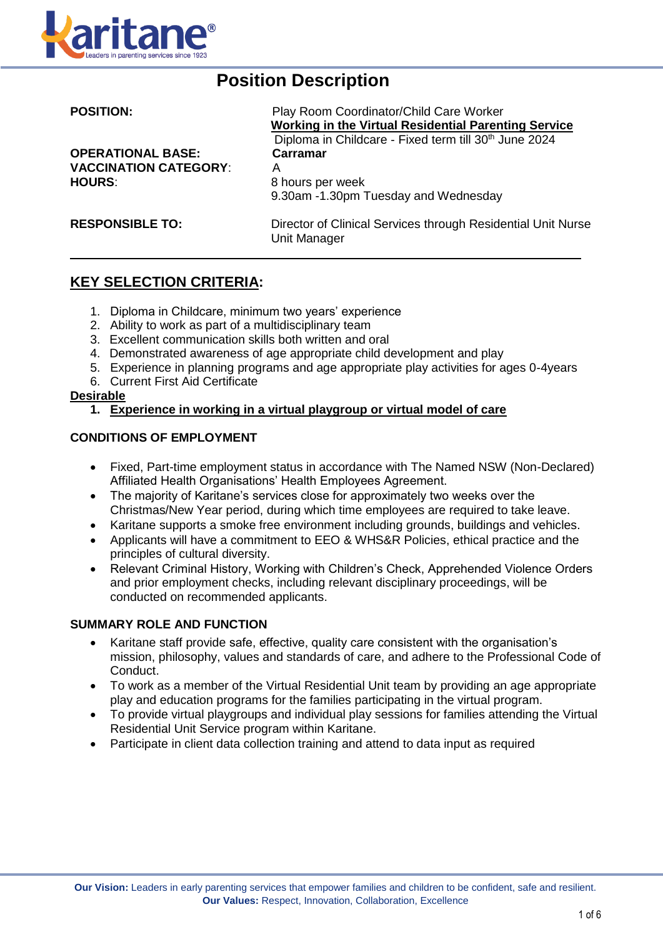

# **Position Description**

| <b>POSITION:</b>                                                          | Play Room Coordinator/Child Care Worker<br>Working in the Virtual Residential Parenting Service<br>Diploma in Childcare - Fixed term till 30 <sup>th</sup> June 2024 |  |  |
|---------------------------------------------------------------------------|----------------------------------------------------------------------------------------------------------------------------------------------------------------------|--|--|
| <b>OPERATIONAL BASE:</b><br><b>VACCINATION CATEGORY:</b><br><b>HOURS:</b> | Carramar<br>А<br>8 hours per week<br>9.30am -1.30pm Tuesday and Wednesday                                                                                            |  |  |
| <b>RESPONSIBLE TO:</b>                                                    | Director of Clinical Services through Residential Unit Nurse<br>Unit Manager                                                                                         |  |  |

## **KEY SELECTION CRITERIA:**

- 1. Diploma in Childcare, minimum two years' experience
- 2. Ability to work as part of a multidisciplinary team
- 3. Excellent communication skills both written and oral
- 4. Demonstrated awareness of age appropriate child development and play
- 5. Experience in planning programs and age appropriate play activities for ages 0-4years
- 6. Current First Aid Certificate

#### **Desirable**

**1. Experience in working in a virtual playgroup or virtual model of care**

#### **CONDITIONS OF EMPLOYMENT**

- Fixed, Part-time employment status in accordance with The Named NSW (Non-Declared) Affiliated Health Organisations' Health Employees Agreement.
- The majority of Karitane's services close for approximately two weeks over the Christmas/New Year period, during which time employees are required to take leave.
- Karitane supports a smoke free environment including grounds, buildings and vehicles.
- Applicants will have a commitment to EEO & WHS&R Policies, ethical practice and the principles of cultural diversity.
- Relevant Criminal History, Working with Children's Check, Apprehended Violence Orders and prior employment checks, including relevant disciplinary proceedings, will be conducted on recommended applicants.

#### **SUMMARY ROLE AND FUNCTION**

- Karitane staff provide safe, effective, quality care consistent with the organisation's mission, philosophy, values and standards of care, and adhere to the Professional Code of Conduct.
- To work as a member of the Virtual Residential Unit team by providing an age appropriate play and education programs for the families participating in the virtual program.
- To provide virtual playgroups and individual play sessions for families attending the Virtual Residential Unit Service program within Karitane.
- Participate in client data collection training and attend to data input as required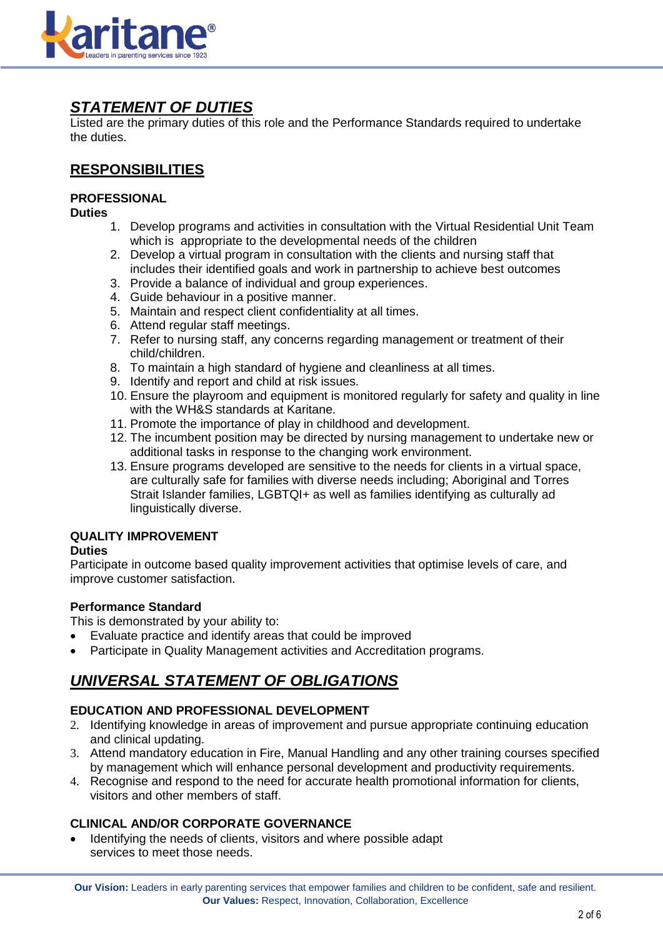

## *STATEMENT OF DUTIES*

Listed are the primary duties of this role and the Performance Standards required to undertake the duties.

## **RESPONSIBILITIES**

## **PROFESSIONAL**

**Duties**

- 1. Develop programs and activities in consultation with the Virtual Residential Unit Team which is appropriate to the developmental needs of the children
- 2. Develop a virtual program in consultation with the clients and nursing staff that includes their identified goals and work in partnership to achieve best outcomes
- 3. Provide a balance of individual and group experiences.
- 4. Guide behaviour in a positive manner.
- 5. Maintain and respect client confidentiality at all times.
- 6. Attend regular staff meetings.
- 7. Refer to nursing staff, any concerns regarding management or treatment of their child/children.
- 8. To maintain a high standard of hygiene and cleanliness at all times.
- 9. Identify and report and child at risk issues.
- 10. Ensure the playroom and equipment is monitored regularly for safety and quality in line with the WH&S standards at Karitane.
- 11. Promote the importance of play in childhood and development.
- 12. The incumbent position may be directed by nursing management to undertake new or additional tasks in response to the changing work environment.
- 13. Ensure programs developed are sensitive to the needs for clients in a virtual space, are culturally safe for families with diverse needs including; Aboriginal and Torres Strait Islander families, LGBTQI+ as well as families identifying as culturally ad linguistically diverse.

### **QUALITY IMPROVEMENT**

#### **Duties**

Participate in outcome based quality improvement activities that optimise levels of care, and improve customer satisfaction.

### **Performance Standard**

This is demonstrated by your ability to:

- Evaluate practice and identify areas that could be improved
- Participate in Quality Management activities and Accreditation programs.

## *UNIVERSAL STATEMENT OF OBLIGATIONS*

### **EDUCATION AND PROFESSIONAL DEVELOPMENT**

- 2. Identifying knowledge in areas of improvement and pursue appropriate continuing education and clinical updating.
- 3. Attend mandatory education in Fire, Manual Handling and any other training courses specified by management which will enhance personal development and productivity requirements.
- 4. Recognise and respond to the need for accurate health promotional information for clients, visitors and other members of staff.

### **CLINICAL AND/OR CORPORATE GOVERNANCE**

 Identifying the needs of clients, visitors and where possible adapt services to meet those needs.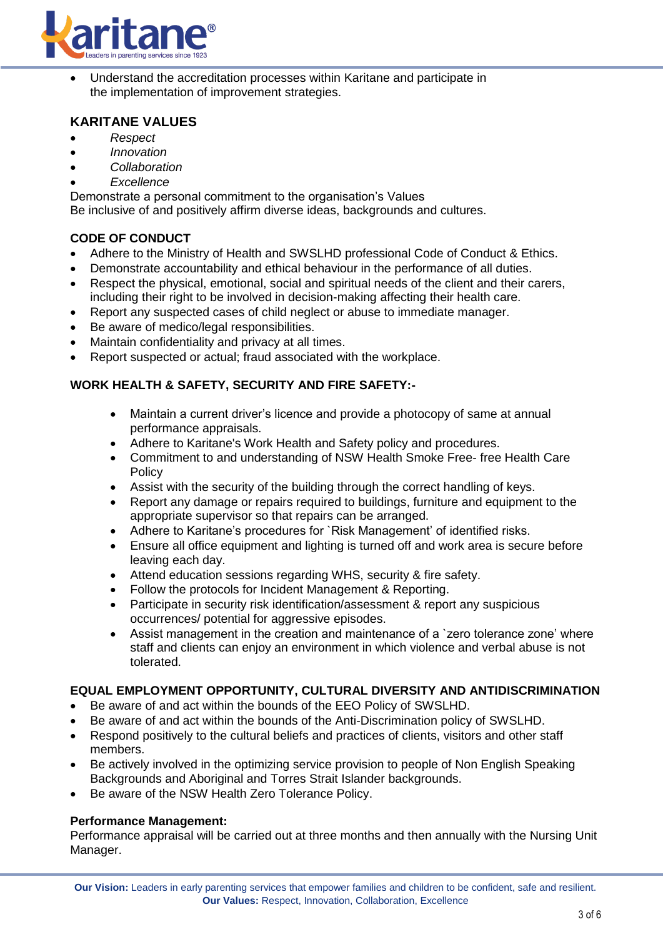

 Understand the accreditation processes within Karitane and participate in the implementation of improvement strategies.

## **KARITANE VALUES**

- *Respect*
- *Innovation*
- *Collaboration*
- *Excellence*

Demonstrate a personal commitment to the organisation's Values

Be inclusive of and positively affirm diverse ideas, backgrounds and cultures.

#### **CODE OF CONDUCT**

- Adhere to the Ministry of Health and SWSLHD professional Code of Conduct & Ethics.
- Demonstrate accountability and ethical behaviour in the performance of all duties.
- Respect the physical, emotional, social and spiritual needs of the client and their carers, including their right to be involved in decision-making affecting their health care.
- Report any suspected cases of child neglect or abuse to immediate manager.
- Be aware of medico/legal responsibilities.
- Maintain confidentiality and privacy at all times.
- Report suspected or actual; fraud associated with the workplace.

#### **WORK HEALTH & SAFETY, SECURITY AND FIRE SAFETY:-**

- Maintain a current driver's licence and provide a photocopy of same at annual performance appraisals.
- Adhere to Karitane's Work Health and Safety policy and procedures.
- Commitment to and understanding of NSW Health Smoke Free- free Health Care Policy
- Assist with the security of the building through the correct handling of keys.
- Report any damage or repairs required to buildings, furniture and equipment to the appropriate supervisor so that repairs can be arranged.
- Adhere to Karitane's procedures for `Risk Management' of identified risks.
- Ensure all office equipment and lighting is turned off and work area is secure before leaving each day.
- Attend education sessions regarding WHS, security & fire safety.
- Follow the protocols for Incident Management & Reporting.
- Participate in security risk identification/assessment & report any suspicious occurrences/ potential for aggressive episodes.
- Assist management in the creation and maintenance of a `zero tolerance zone' where staff and clients can enjoy an environment in which violence and verbal abuse is not tolerated.

### **EQUAL EMPLOYMENT OPPORTUNITY, CULTURAL DIVERSITY AND ANTIDISCRIMINATION**

- Be aware of and act within the bounds of the EEO Policy of SWSLHD.
- Be aware of and act within the bounds of the Anti-Discrimination policy of SWSLHD.
- Respond positively to the cultural beliefs and practices of clients, visitors and other staff members.
- Be actively involved in the optimizing service provision to people of Non English Speaking Backgrounds and Aboriginal and Torres Strait Islander backgrounds.
- Be aware of the NSW Health Zero Tolerance Policy.

#### **Performance Management:**

Performance appraisal will be carried out at three months and then annually with the Nursing Unit Manager.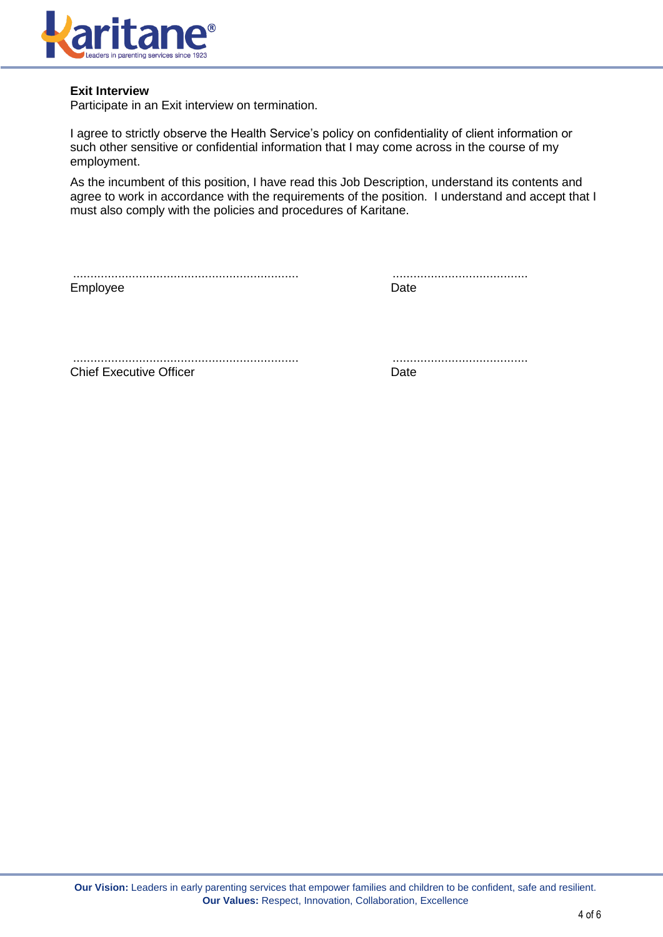

### **Exit Interview**

Participate in an Exit interview on termination.

I agree to strictly observe the Health Service's policy on confidentiality of client information or such other sensitive or confidential information that I may come across in the course of my employment.

As the incumbent of this position, I have read this Job Description, understand its contents and agree to work in accordance with the requirements of the position. I understand and accept that I must also comply with the policies and procedures of Karitane.

................................................................. ....................................... Employee Date Date Date

................................................................. ....................................... **Chief Executive Officer Chief Executive Officer Chief Chief Executive Officer Chief Chief Chief Chief Chief Chief Chief Chief Chief Chief Chief Chief Chief Chief Chief Chief Chief Chief Chief Chief Chief Chief Chief Chief**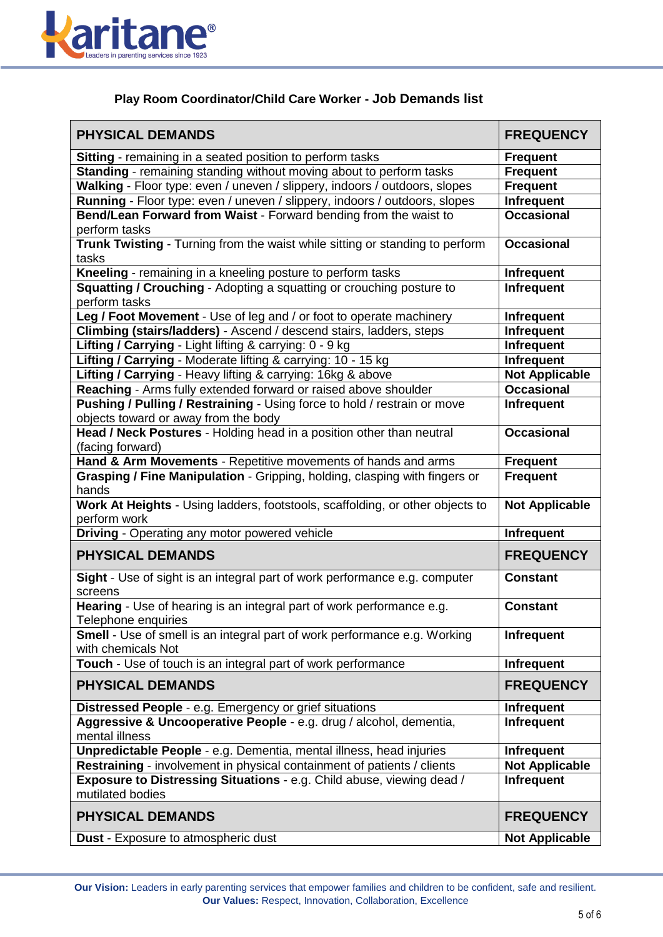

## **Play Room Coordinator/Child Care Worker - Job Demands list**

| <b>PHYSICAL DEMANDS</b>                                                                                          | <b>FREQUENCY</b>      |  |  |
|------------------------------------------------------------------------------------------------------------------|-----------------------|--|--|
| <b>Sitting</b> - remaining in a seated position to perform tasks                                                 | <b>Frequent</b>       |  |  |
| Standing - remaining standing without moving about to perform tasks                                              | <b>Frequent</b>       |  |  |
| Walking - Floor type: even / uneven / slippery, indoors / outdoors, slopes                                       | <b>Frequent</b>       |  |  |
| Running - Floor type: even / uneven / slippery, indoors / outdoors, slopes                                       | Infrequent            |  |  |
| Bend/Lean Forward from Waist - Forward bending from the waist to<br>perform tasks                                | <b>Occasional</b>     |  |  |
| Trunk Twisting - Turning from the waist while sitting or standing to perform<br>tasks                            | <b>Occasional</b>     |  |  |
| Kneeling - remaining in a kneeling posture to perform tasks                                                      | <b>Infrequent</b>     |  |  |
| <b>Squatting / Crouching - Adopting a squatting or crouching posture to</b>                                      | Infrequent            |  |  |
| perform tasks                                                                                                    |                       |  |  |
| Leg / Foot Movement - Use of leg and / or foot to operate machinery                                              | <b>Infrequent</b>     |  |  |
| Climbing (stairs/ladders) - Ascend / descend stairs, ladders, steps                                              | <b>Infrequent</b>     |  |  |
| Lifting / Carrying - Light lifting & carrying: 0 - 9 kg                                                          | Infrequent            |  |  |
| Lifting / Carrying - Moderate lifting & carrying: 10 - 15 kg                                                     | Infrequent            |  |  |
| Lifting / Carrying - Heavy lifting & carrying: 16kg & above                                                      | <b>Not Applicable</b> |  |  |
| Reaching - Arms fully extended forward or raised above shoulder                                                  | <b>Occasional</b>     |  |  |
| Pushing / Pulling / Restraining - Using force to hold / restrain or move<br>objects toward or away from the body | Infrequent            |  |  |
| Head / Neck Postures - Holding head in a position other than neutral                                             | <b>Occasional</b>     |  |  |
| (facing forward)<br>Hand & Arm Movements - Repetitive movements of hands and arms                                | <b>Frequent</b>       |  |  |
| Grasping / Fine Manipulation - Gripping, holding, clasping with fingers or                                       | <b>Frequent</b>       |  |  |
| hands                                                                                                            |                       |  |  |
| Work At Heights - Using ladders, footstools, scaffolding, or other objects to<br>perform work                    | <b>Not Applicable</b> |  |  |
| <b>Driving - Operating any motor powered vehicle</b>                                                             | Infrequent            |  |  |
| <b>PHYSICAL DEMANDS</b>                                                                                          | <b>FREQUENCY</b>      |  |  |
| Sight - Use of sight is an integral part of work performance e.g. computer<br>screens                            | <b>Constant</b>       |  |  |
| Hearing - Use of hearing is an integral part of work performance e.g.<br>Telephone enquiries                     | <b>Constant</b>       |  |  |
| <b>Smell</b> - Use of smell is an integral part of work performance e.g. Working<br>with chemicals Not           | Infrequent            |  |  |
| <b>Touch</b> - Use of touch is an integral part of work performance                                              | <b>Infrequent</b>     |  |  |
| <b>PHYSICAL DEMANDS</b>                                                                                          | <b>FREQUENCY</b>      |  |  |
| Distressed People - e.g. Emergency or grief situations                                                           | Infrequent            |  |  |
| Aggressive & Uncooperative People - e.g. drug / alcohol, dementia,<br>mental illness                             | Infrequent            |  |  |
| Unpredictable People - e.g. Dementia, mental illness, head injuries                                              | <b>Infrequent</b>     |  |  |
| Restraining - involvement in physical containment of patients / clients                                          | <b>Not Applicable</b> |  |  |
| Exposure to Distressing Situations - e.g. Child abuse, viewing dead /<br>mutilated bodies                        | <b>Infrequent</b>     |  |  |
| <b>PHYSICAL DEMANDS</b>                                                                                          | <b>FREQUENCY</b>      |  |  |
| <b>Dust</b> - Exposure to atmospheric dust                                                                       | <b>Not Applicable</b> |  |  |

**Our Vision:** Leaders in early parenting services that empower families and children to be confident, safe and resilient. **Our Values:** Respect, Innovation, Collaboration, Excellence